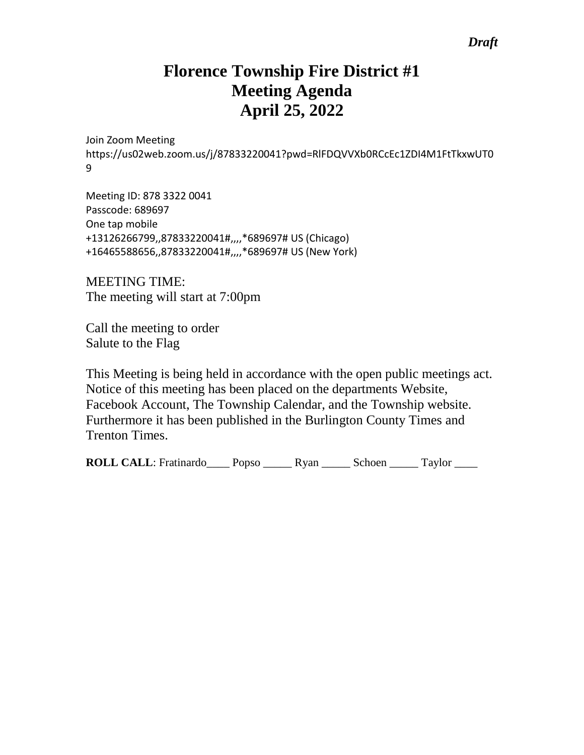## *Draft*

# **Florence Township Fire District #1 Meeting Agenda April 25, 2022**

Join Zoom Meeting https://us02web.zoom.us/j/87833220041?pwd=RlFDQVVXb0RCcEc1ZDI4M1FtTkxwUT0 9

Meeting ID: 878 3322 0041 Passcode: 689697 One tap mobile +13126266799,,87833220041#,,,,\*689697# US (Chicago) +16465588656,,87833220041#,,,,\*689697# US (New York)

MEETING TIME: The meeting will start at 7:00pm

Call the meeting to order Salute to the Flag

This Meeting is being held in accordance with the open public meetings act. Notice of this meeting has been placed on the departments Website, Facebook Account, The Township Calendar, and the Township website. Furthermore it has been published in the Burlington County Times and Trenton Times.

**ROLL CALL**: Fratinardo Popso Ryan Schoen Taylor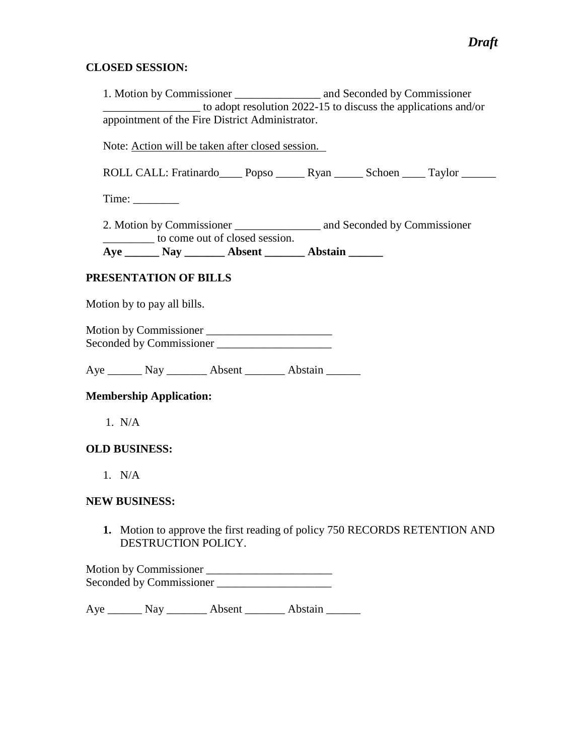#### **CLOSED SESSION:**

1. Motion by Commissioner \_\_\_\_\_\_\_\_\_\_\_\_\_\_\_ and Seconded by Commissioner  $\overline{\phantom{a}}$  to adopt resolution 2022-15 to discuss the applications and/or appointment of the Fire District Administrator. Note: Action will be taken after closed session. ROLL CALL: Fratinardo\_\_\_\_ Popso \_\_\_\_\_ Ryan \_\_\_\_\_ Schoen \_\_\_\_ Taylor \_\_\_\_\_\_ Time: \_\_\_\_\_\_\_\_

2. Motion by Commissioner \_\_\_\_\_\_\_\_\_\_\_\_\_\_\_ and Seconded by Commissioner \_\_\_\_\_\_\_\_\_ to come out of closed session. **Aye \_\_\_\_\_\_ Nay \_\_\_\_\_\_\_ Absent \_\_\_\_\_\_\_ Abstain \_\_\_\_\_\_**

### **PRESENTATION OF BILLS**

Motion by to pay all bills.

Motion by Commissioner \_\_\_\_\_\_\_\_\_\_\_\_\_\_\_\_\_\_\_\_\_\_ Seconded by Commissioner \_\_\_\_\_\_\_\_\_\_\_\_\_\_\_\_\_\_\_\_

Aye Nay Nay Absent Abstain

#### **Membership Application:**

1. N/A

#### **OLD BUSINESS:**

1. N/A

#### **NEW BUSINESS:**

**1.** Motion to approve the first reading of policy 750 RECORDS RETENTION AND DESTRUCTION POLICY.

Motion by Commissioner \_\_\_\_\_\_\_\_\_\_\_\_\_\_\_\_\_\_\_\_\_\_ Seconded by Commissioner \_\_\_\_\_\_\_\_\_\_\_\_\_\_\_\_\_\_\_\_

Aye Nay Nay Absent Abstain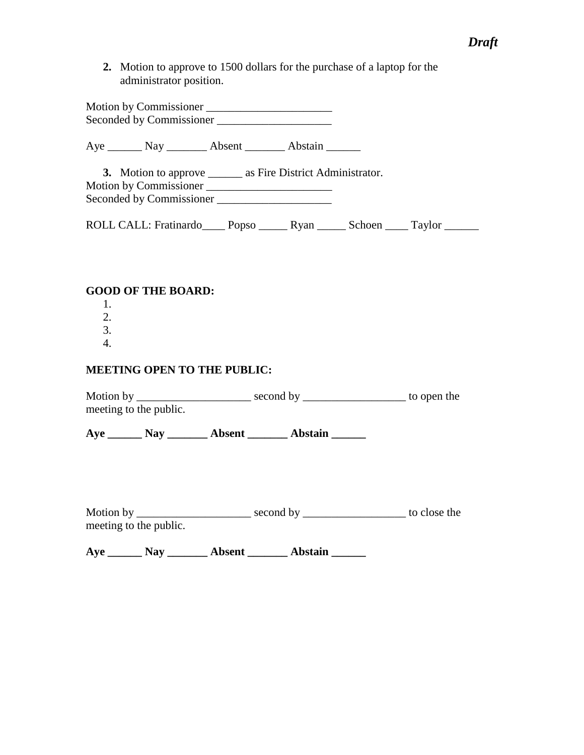**2.** Motion to approve to 1500 dollars for the purchase of a laptop for the administrator position.

Motion by Commissioner \_\_\_\_\_\_\_\_\_\_\_\_\_\_\_\_\_\_\_\_\_\_ Seconded by Commissioner \_\_\_\_\_\_\_\_\_\_\_\_\_\_\_\_\_\_\_\_

Aye \_\_\_\_\_\_\_\_ Nay \_\_\_\_\_\_\_\_\_ Absent \_\_\_\_\_\_\_\_ Abstain \_\_\_\_\_\_\_

**3.** Motion to approve \_\_\_\_\_\_ as Fire District Administrator. Motion by Commissioner \_\_\_\_\_\_\_\_\_\_\_\_\_\_\_\_\_\_\_\_\_\_ Seconded by Commissioner \_\_\_\_\_\_\_\_\_\_\_\_\_\_\_\_\_\_\_\_

ROLL CALL: Fratinardo\_\_\_\_ Popso \_\_\_\_\_ Ryan \_\_\_\_\_ Schoen \_\_\_\_ Taylor \_\_\_\_\_\_

## **GOOD OF THE BOARD:**

- 1. 2.
- 3.
- 4.

## **MEETING OPEN TO THE PUBLIC:**

Motion by \_\_\_\_\_\_\_\_\_\_\_\_\_\_\_\_\_\_\_\_\_\_\_\_ second by \_\_\_\_\_\_\_\_\_\_\_\_\_\_\_\_\_\_\_\_\_\_\_ to open the meeting to the public.

**Aye \_\_\_\_\_\_ Nay \_\_\_\_\_\_\_ Absent \_\_\_\_\_\_\_ Abstain \_\_\_\_\_\_**

| Motion by              | second by | to close the |
|------------------------|-----------|--------------|
| meeting to the public. |           |              |

**Aye \_\_\_\_\_\_ Nay \_\_\_\_\_\_\_ Absent \_\_\_\_\_\_\_ Abstain \_\_\_\_\_\_**